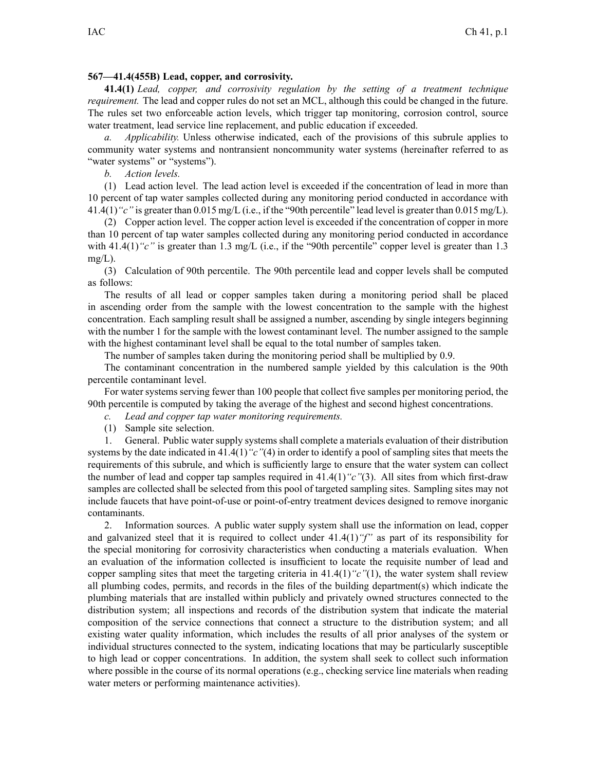#### **567—41.4(455B) Lead, copper, and corrosivity.**

**41.4(1)** *Lead, copper, and corrosivity regulation by the setting of <sup>a</sup> treatment technique requirement.* The lead and copper rules do not set an MCL, although this could be changed in the future. The rules set two enforceable action levels, which trigger tap monitoring, corrosion control, source water treatment, lead service line replacement, and public education if exceeded.

*a. Applicability.* Unless otherwise indicated, each of the provisions of this subrule applies to community water systems and nontransient noncommunity water systems (hereinafter referred to as "water systems" or "systems").

*b. Action levels.*

(1) Lead action level. The lead action level is exceeded if the concentration of lead in more than 10 percen<sup>t</sup> of tap water samples collected during any monitoring period conducted in accordance with 41.4(1)*"c"* is greater than 0.015 mg/L (i.e., if the "90th percentile" lead level is greater than 0.015 mg/L).

(2) Copper action level. The copper action level is exceeded if the concentration of copper in more than 10 percen<sup>t</sup> of tap water samples collected during any monitoring period conducted in accordance with 41.4(1)<sup>"</sup>c" is greater than 1.3 mg/L (i.e., if the "90th percentile" copper level is greater than 1.3  $mg/L$ ).

(3) Calculation of 90th percentile. The 90th percentile lead and copper levels shall be computed as follows:

The results of all lead or copper samples taken during <sup>a</sup> monitoring period shall be placed in ascending order from the sample with the lowest concentration to the sample with the highest concentration. Each sampling result shall be assigned <sup>a</sup> number, ascending by single integers beginning with the number 1 for the sample with the lowest contaminant level. The number assigned to the sample with the highest contaminant level shall be equal to the total number of samples taken.

The number of samples taken during the monitoring period shall be multiplied by 0.9.

The contaminant concentration in the numbered sample yielded by this calculation is the 90th percentile contaminant level.

For water systems serving fewer than 100 people that collect five samples per monitoring period, the 90th percentile is computed by taking the average of the highest and second highest concentrations.

*c. Lead and copper tap water monitoring requirements.*

(1) Sample site selection.

1. General. Public water supply systems shall complete <sup>a</sup> materials evaluation of their distribution systems by the date indicated in 41.4(1)*"c"*(4) in order to identify a pool of sampling sites that meets the requirements of this subrule, and which is sufficiently large to ensure that the water system can collect the number of lead and copper tap samples required in 41.4(1)*"c"*(3). All sites from which first-draw samples are collected shall be selected from this pool of targeted sampling sites. Sampling sites may not include faucets that have point-of-use or point-of-entry treatment devices designed to remove inorganic contaminants.

2. Information sources. A public water supply system shall use the information on lead, copper and galvanized steel that it is required to collect under 41.4(1)*"f"* as par<sup>t</sup> of its responsibility for the special monitoring for corrosivity characteristics when conducting <sup>a</sup> materials evaluation. When an evaluation of the information collected is insufficient to locate the requisite number of lead and copper sampling sites that meet the targeting criteria in  $41.4(1)$ <sup>"</sup> $c$ "(1), the water system shall review all plumbing codes, permits, and records in the files of the building department(s) which indicate the plumbing materials that are installed within publicly and privately owned structures connected to the distribution system; all inspections and records of the distribution system that indicate the material composition of the service connections that connect <sup>a</sup> structure to the distribution system; and all existing water quality information, which includes the results of all prior analyses of the system or individual structures connected to the system, indicating locations that may be particularly susceptible to high lead or copper concentrations. In addition, the system shall seek to collect such information where possible in the course of its normal operations (e.g., checking service line materials when reading water meters or performing maintenance activities).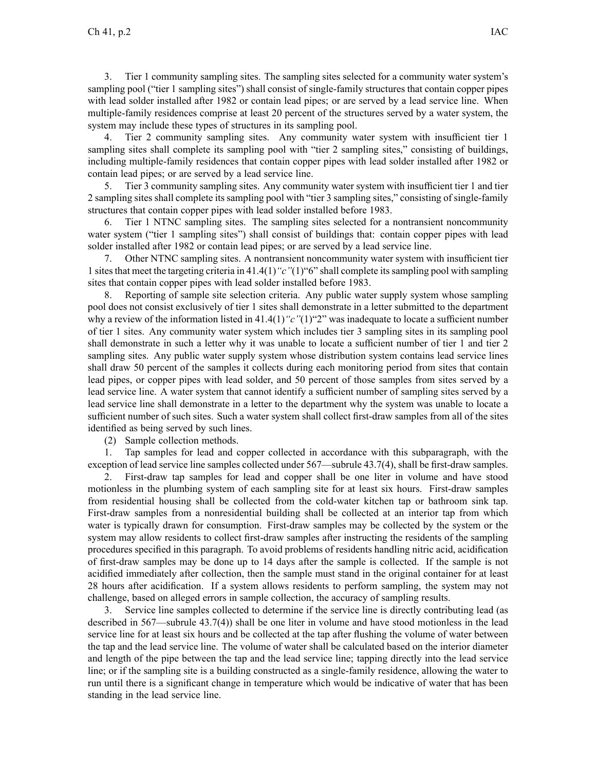3. Tier 1 community sampling sites. The sampling sites selected for <sup>a</sup> community water system's sampling pool ("tier 1 sampling sites") shall consist of single-family structures that contain copper pipes with lead solder installed after 1982 or contain lead pipes; or are served by <sup>a</sup> lead service line. When multiple-family residences comprise at least 20 percen<sup>t</sup> of the structures served by <sup>a</sup> water system, the system may include these types of structures in its sampling pool.

4. Tier 2 community sampling sites. Any community water system with insufficient tier 1 sampling sites shall complete its sampling pool with "tier 2 sampling sites," consisting of buildings, including multiple-family residences that contain copper pipes with lead solder installed after 1982 or contain lead pipes; or are served by <sup>a</sup> lead service line.

5. Tier 3 community sampling sites. Any community water system with insufficient tier 1 and tier 2 sampling sites shall complete its sampling pool with "tier 3 sampling sites," consisting of single-family structures that contain copper pipes with lead solder installed before 1983.

6. Tier 1 NTNC sampling sites. The sampling sites selected for <sup>a</sup> nontransient noncommunity water system ("tier 1 sampling sites") shall consist of buildings that: contain copper pipes with lead solder installed after 1982 or contain lead pipes; or are served by <sup>a</sup> lead service line.

7. Other NTNC sampling sites. A nontransient noncommunity water system with insufficient tier 1 sitesthat meet the targeting criteria in 41.4(1)*"c"*(1)"6" shall complete itssampling pool with sampling sites that contain copper pipes with lead solder installed before 1983.

8. Reporting of sample site selection criteria. Any public water supply system whose sampling pool does not consist exclusively of tier 1 sites shall demonstrate in <sup>a</sup> letter submitted to the department why a review of the information listed in 41.4(1)<sup>"</sup>c"(1)<sup>"2</sup>" was inadequate to locate a sufficient number of tier 1 sites. Any community water system which includes tier 3 sampling sites in its sampling pool shall demonstrate in such <sup>a</sup> letter why it was unable to locate <sup>a</sup> sufficient number of tier 1 and tier 2 sampling sites. Any public water supply system whose distribution system contains lead service lines shall draw 50 percen<sup>t</sup> of the samples it collects during each monitoring period from sites that contain lead pipes, or copper pipes with lead solder, and 50 percen<sup>t</sup> of those samples from sites served by <sup>a</sup> lead service line. A water system that cannot identify <sup>a</sup> sufficient number of sampling sites served by <sup>a</sup> lead service line shall demonstrate in <sup>a</sup> letter to the department why the system was unable to locate <sup>a</sup> sufficient number of such sites. Such <sup>a</sup> water system shall collect first-draw samples from all of the sites identified as being served by such lines.

(2) Sample collection methods.

1. Tap samples for lead and copper collected in accordance with this subparagraph, with the exception of lead service line samples collected under 567—subrule 43.7(4), shall be first-draw samples.

2. First-draw tap samples for lead and copper shall be one liter in volume and have stood motionless in the plumbing system of each sampling site for at least six hours. First-draw samples from residential housing shall be collected from the cold-water kitchen tap or bathroom sink tap. First-draw samples from <sup>a</sup> nonresidential building shall be collected at an interior tap from which water is typically drawn for consumption. First-draw samples may be collected by the system or the system may allow residents to collect first-draw samples after instructing the residents of the sampling procedures specified in this paragraph. To avoid problems of residents handling nitric acid, acidification of first-draw samples may be done up to 14 days after the sample is collected. If the sample is not acidified immediately after collection, then the sample must stand in the original container for at least 28 hours after acidification. If <sup>a</sup> system allows residents to perform sampling, the system may not challenge, based on alleged errors in sample collection, the accuracy of sampling results.

3. Service line samples collected to determine if the service line is directly contributing lead (as described in 567—subrule 43.7(4)) shall be one liter in volume and have stood motionless in the lead service line for at least six hours and be collected at the tap after flushing the volume of water between the tap and the lead service line. The volume of water shall be calculated based on the interior diameter and length of the pipe between the tap and the lead service line; tapping directly into the lead service line; or if the sampling site is <sup>a</sup> building constructed as <sup>a</sup> single-family residence, allowing the water to run until there is <sup>a</sup> significant change in temperature which would be indicative of water that has been standing in the lead service line.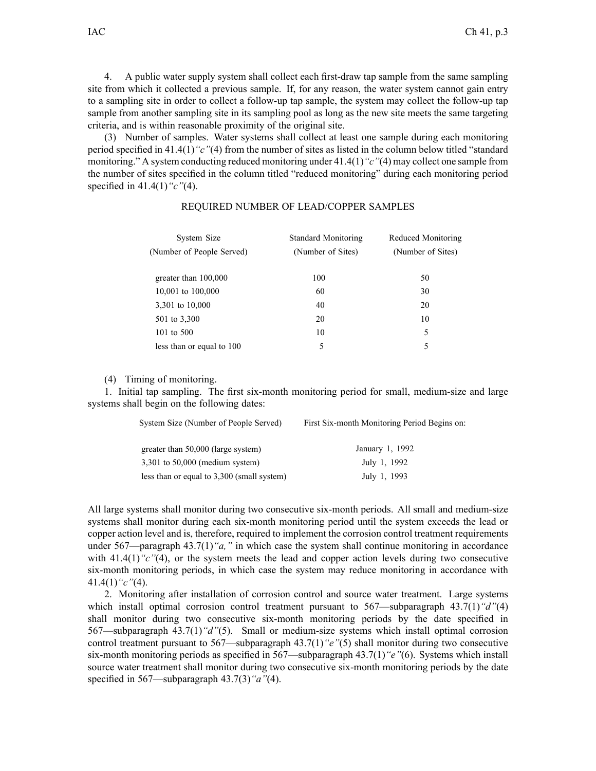4. A public water supply system shall collect each first-draw tap sample from the same sampling site from which it collected <sup>a</sup> previous sample. If, for any reason, the water system cannot gain entry to <sup>a</sup> sampling site in order to collect <sup>a</sup> follow-up tap sample, the system may collect the follow-up tap sample from another sampling site in its sampling pool as long as the new site meets the same targeting criteria, and is within reasonable proximity of the original site.

(3) Number of samples. Water systems shall collect at least one sample during each monitoring period specified in 41.4(1)*"c"*(4) from the number of sites as listed in the column below titled "standard monitoring." A system conducting reduced monitoring under 41.4(1)*"c"*(4) may collect one sample from the number of sites specified in the column titled "reduced monitoring" during each monitoring period specified in 41.4(1)*"c"*(4).

| System Size               | <b>Standard Monitoring</b> | Reduced Monitoring |
|---------------------------|----------------------------|--------------------|
| (Number of People Served) | (Number of Sites)          | (Number of Sites)  |
|                           |                            |                    |
| greater than 100,000      | 100                        | 50                 |
| 10,001 to 100,000         | 60                         | 30                 |
| 3,301 to 10,000           | 40                         | 20                 |
| 501 to 3,300              | 20                         | 10                 |
| 101 to 500                | 10                         | 5                  |
| less than or equal to 100 | 5                          | 5                  |

### REQUIRED NUMBER OF LEAD/COPPER SAMPLES

(4) Timing of monitoring.

1. Initial tap sampling. The first six-month monitoring period for small, medium-size and large systems shall begin on the following dates:

| System Size (Number of People Served)      | First Six-month Monitoring Period Begins on |  |  |  |
|--------------------------------------------|---------------------------------------------|--|--|--|
| greater than 50,000 (large system)         | January 1, 1992                             |  |  |  |
| $3,301$ to $50,000$ (medium system)        | July 1, 1992                                |  |  |  |
| less than or equal to 3,300 (small system) | July 1, 1993                                |  |  |  |

All large systems shall monitor during two consecutive six-month periods. All small and medium-size systems shall monitor during each six-month monitoring period until the system exceeds the lead or copper action level and is, therefore, required to implement the corrosion control treatment requirements under 567—paragraph 43.7(1)*"a,"* in which case the system shall continue monitoring in accordance with 41.4(1)<sup>"</sup>c"(4), or the system meets the lead and copper action levels during two consecutive six-month monitoring periods, in which case the system may reduce monitoring in accordance with 41.4(1)*"c"*(4).

2. Monitoring after installation of corrosion control and source water treatment. Large systems which install optimal corrosion control treatment pursuant to 567—subparagraph 43.7(1)<sup>"</sup>d"<sup>(4)</sup> shall monitor during two consecutive six-month monitoring periods by the date specified in 567—subparagraph 43.7(1)*"d"*(5). Small or medium-size systems which install optimal corrosion control treatment pursuan<sup>t</sup> to 567—subparagraph 43.7(1)*"e"*(5) shall monitor during two consecutive six-month monitoring periods as specified in 567—subparagraph 43.7(1)*"e"*(6). Systems which install source water treatment shall monitor during two consecutive six-month monitoring periods by the date specified in 567—subparagraph 43.7(3)*"a"*(4).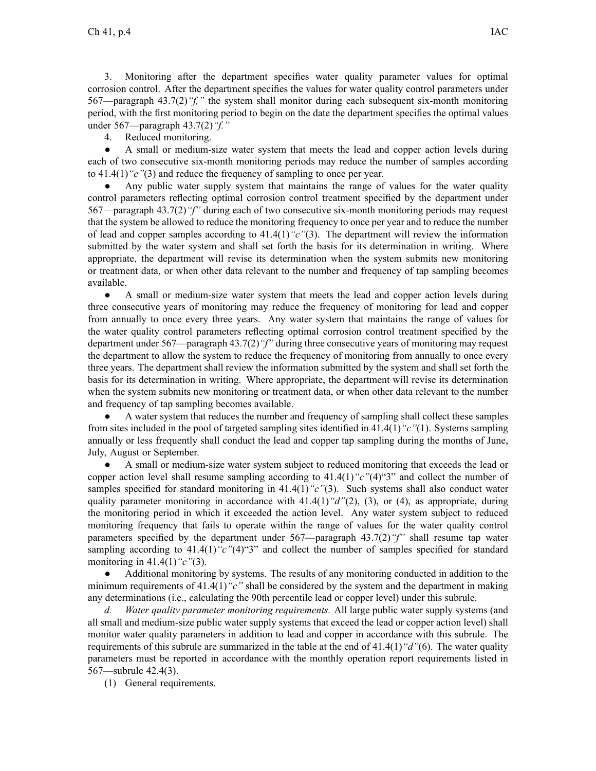3. Monitoring after the department specifies water quality parameter values for optimal corrosion control. After the department specifies the values for water quality control parameters under 567—paragraph 43.7(2)*"f,"* the system shall monitor during each subsequent six-month monitoring period, with the first monitoring period to begin on the date the department specifies the optimal values under 567—paragraph 43.7(2)*"f."*

4. Reduced monitoring.

 $\bullet$  A small or medium-size water system that meets the lead and copper action levels during each of two consecutive six-month monitoring periods may reduce the number of samples according to 41.4(1)*"c"*(3) and reduce the frequency of sampling to once per year.

● Any public water supply system that maintains the range of values for the water quality control parameters reflecting optimal corrosion control treatment specified by the department under 567—paragraph 43.7(2)*"f"* during each of two consecutive six-month monitoring periods may reques<sup>t</sup> that the system be allowed to reduce the monitoring frequency to once per year and to reduce the number of lead and copper samples according to 41.4(1)*"c"*(3). The department will review the information submitted by the water system and shall set forth the basis for its determination in writing. Where appropriate, the department will revise its determination when the system submits new monitoring or treatment data, or when other data relevant to the number and frequency of tap sampling becomes available.

 $\bullet$  A small or medium-size water system that meets the lead and copper action levels during three consecutive years of monitoring may reduce the frequency of monitoring for lead and copper from annually to once every three years. Any water system that maintains the range of values for the water quality control parameters reflecting optimal corrosion control treatment specified by the department under 567—paragraph 43.7(2)*"f"* during three consecutive years of monitoring may reques<sup>t</sup> the department to allow the system to reduce the frequency of monitoring from annually to once every three years. The department shall review the information submitted by the system and shall set forth the basis for its determination in writing. Where appropriate, the department will revise its determination when the system submits new monitoring or treatment data, or when other data relevant to the number and frequency of tap sampling becomes available.

● A water system that reduces the number and frequency of sampling shall collect these samples from sites included in the pool of targeted sampling sites identified in 41.4(1)*"c"*(1). Systems sampling annually or less frequently shall conduct the lead and copper tap sampling during the months of June, July, August or September.

● A small or medium-size water system subject to reduced monitoring that exceeds the lead or copper action level shall resume sampling according to 41.4(1)*"c"*(4)"3" and collect the number of samples specified for standard monitoring in 41.4(1)<sup>"</sup>c"(3). Such systems shall also conduct water quality parameter monitoring in accordance with 41.4(1)*"d"*(2), (3), or (4), as appropriate, during the monitoring period in which it exceeded the action level. Any water system subject to reduced monitoring frequency that fails to operate within the range of values for the water quality control parameters specified by the department under 567—paragraph 43.7(2)*"f"* shall resume tap water sampling according to 41.4(1)"c"(4)"3" and collect the number of samples specified for standard monitoring in 41.4(1)*"c"*(3).

● Additional monitoring by systems. The results of any monitoring conducted in addition to the minimum requirements of 41.4(1)*"c"* shall be considered by the system and the department in making any determinations (i.e., calculating the 90th percentile lead or copper level) under this subrule.

*d. Water quality parameter monitoring requirements.* All large public water supply systems (and all small and medium-size public water supply systems that exceed the lead or copper action level) shall monitor water quality parameters in addition to lead and copper in accordance with this subrule. The requirements of this subrule are summarized in the table at the end of 41.4(1)*"d"*(6). The water quality parameters must be reported in accordance with the monthly operation repor<sup>t</sup> requirements listed in 567—subrule 42.4(3).

(1) General requirements.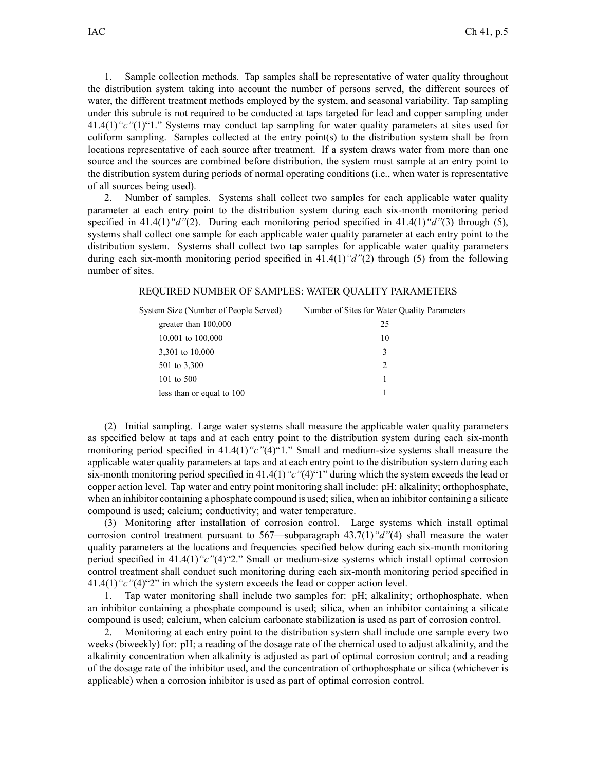1. Sample collection methods. Tap samples shall be representative of water quality throughout the distribution system taking into account the number of persons served, the different sources of water, the different treatment methods employed by the system, and seasonal variability. Tap sampling under this subrule is not required to be conducted at taps targeted for lead and copper sampling under 41.4(1)*"c"*(1)"1." Systems may conduct tap sampling for water quality parameters at sites used for coliform sampling. Samples collected at the entry point(s) to the distribution system shall be from locations representative of each source after treatment. If <sup>a</sup> system draws water from more than one source and the sources are combined before distribution, the system must sample at an entry point to the distribution system during periods of normal operating conditions (i.e., when water is representative of all sources being used).

2. Number of samples. Systems shall collect two samples for each applicable water quality parameter at each entry point to the distribution system during each six-month monitoring period specified in 41.4(1)*"d"*(2). During each monitoring period specified in 41.4(1)*"d"*(3) through (5), systems shall collect one sample for each applicable water quality parameter at each entry point to the distribution system. Systems shall collect two tap samples for applicable water quality parameters during each six-month monitoring period specified in 41.4(1)*"d"*(2) through (5) from the following number of sites.

# REQUIRED NUMBER OF SAMPLES: WATER QUALITY PARAMETERS

| System Size (Number of People Served) | Number of Sites for Water Quality Parameters |
|---------------------------------------|----------------------------------------------|
| greater than $100,000$                | 25                                           |
| 10,001 to 100,000                     | 10                                           |
| 3,301 to 10,000                       | 3                                            |
| 501 to 3,300                          | 2                                            |
| 101 to 500                            |                                              |
| less than or equal to 100             |                                              |
|                                       |                                              |

(2) Initial sampling. Large water systems shall measure the applicable water quality parameters as specified below at taps and at each entry point to the distribution system during each six-month monitoring period specified in 41.4(1)<sup>"</sup>c"(4)<sup>"1</sup>." Small and medium-size systems shall measure the applicable water quality parameters at taps and at each entry point to the distribution system during each six-month monitoring period specified in 41.4(1)*"c"*(4)"1" during which the system exceeds the lead or copper action level. Tap water and entry point monitoring shall include: pH; alkalinity; orthophosphate, when an inhibitor containing a phosphate compound is used; silica, when an inhibitor containing a silicate compound is used; calcium; conductivity; and water temperature.

(3) Monitoring after installation of corrosion control. Large systems which install optimal corrosion control treatment pursuan<sup>t</sup> to 567—subparagraph 43.7(1)*"d"*(4) shall measure the water quality parameters at the locations and frequencies specified below during each six-month monitoring period specified in 41.4(1)*"c"*(4)"2." Small or medium-size systems which install optimal corrosion control treatment shall conduct such monitoring during each six-month monitoring period specified in 41.4(1)*"c"*(4)"2" in which the system exceeds the lead or copper action level.

1. Tap water monitoring shall include two samples for: pH; alkalinity; orthophosphate, when an inhibitor containing <sup>a</sup> phosphate compound is used; silica, when an inhibitor containing <sup>a</sup> silicate compound is used; calcium, when calcium carbonate stabilization is used as par<sup>t</sup> of corrosion control.

2. Monitoring at each entry point to the distribution system shall include one sample every two weeks (biweekly) for: pH; <sup>a</sup> reading of the dosage rate of the chemical used to adjust alkalinity, and the alkalinity concentration when alkalinity is adjusted as par<sup>t</sup> of optimal corrosion control; and <sup>a</sup> reading of the dosage rate of the inhibitor used, and the concentration of orthophosphate or silica (whichever is applicable) when <sup>a</sup> corrosion inhibitor is used as par<sup>t</sup> of optimal corrosion control.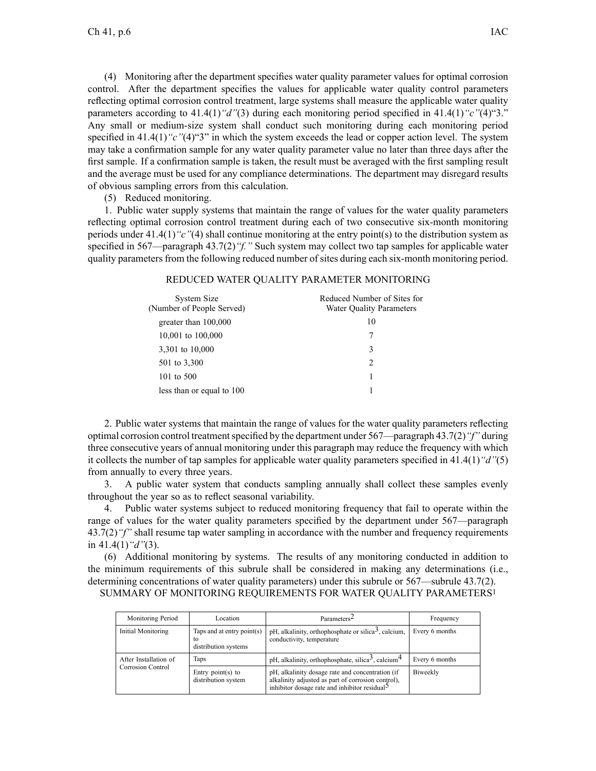(4) Monitoring after the department specifies water quality parameter values for optimal corrosion control. After the department specifies the values for applicable water quality control parameters reflecting optimal corrosion control treatment, large systems shall measure the applicable water quality parameters according to 41.4(1)*"d"*(3) during each monitoring period specified in 41.4(1)*"c"*(4)"3." Any small or medium-size system shall conduct such monitoring during each monitoring period specified in 41.4(1)*"c"*(4)<sup>"3</sup>" in which the system exceeds the lead or copper action level. The system may take <sup>a</sup> confirmation sample for any water quality parameter value no later than three days after the first sample. If <sup>a</sup> confirmation sample is taken, the result must be averaged with the first sampling result and the average must be used for any compliance determinations. The department may disregard results of obvious sampling errors from this calculation.

## (5) Reduced monitoring.

1. Public water supply systems that maintain the range of values for the water quality parameters reflecting optimal corrosion control treatment during each of two consecutive six-month monitoring periods under 41.4(1)*"c"*(4) shall continue monitoring at the entry point(s) to the distribution system as specified in 567—paragraph 43.7(2)*"f."* Such system may collect two tap samples for applicable water quality parameters from the following reduced number of sites during each six-month monitoring period.

## REDUCED WATER QUALITY PARAMETER MONITORING

| System Size<br>(Number of People Served) | Reduced Number of Sites for<br><b>Water Quality Parameters</b> |
|------------------------------------------|----------------------------------------------------------------|
| greater than 100,000                     | 10                                                             |
| 10,001 to 100,000                        |                                                                |
| 3,301 to 10,000                          | 3                                                              |
| 501 to 3,300                             | 2                                                              |
| 101 to 500                               |                                                                |
| less than or equal to 100                |                                                                |

2. Public water systems that maintain the range of values for the water quality parameters reflecting optimal corrosion control treatmentspecified by the department under 567—paragraph 43.7(2)*"f"* during three consecutive years of annual monitoring under this paragraph may reduce the frequency with which it collects the number of tap samples for applicable water quality parameters specified in 41.4(1)*"d"*(5) from annually to every three years.

3. A public water system that conducts sampling annually shall collect these samples evenly throughout the year so as to reflect seasonal variability.

4. Public water systems subject to reduced monitoring frequency that fail to operate within the range of values for the water quality parameters specified by the department under 567—paragraph 43.7(2)*"f"* shall resume tap water sampling in accordance with the number and frequency requirements in 41.4(1)*"d"*(3).

(6) Additional monitoring by systems. The results of any monitoring conducted in addition to the minimum requirements of this subrule shall be considered in making any determinations (i.e., determining concentrations of water quality parameters) under this subrule or 567—subrule 43.7(2). SUMMARY OF MONITORING REQUIREMENTS FOR WATER QUALITY PARAMETERS<sup>1</sup>

| Monitoring Period        | Location                                                   | Parameters <sup>2</sup>                                                                                                                                             | Frequency      |
|--------------------------|------------------------------------------------------------|---------------------------------------------------------------------------------------------------------------------------------------------------------------------|----------------|
| Initial Monitoring       | Taps and at entry $point(s)$<br>to<br>distribution systems | pH, alkalinity, orthophosphate or silica <sup>3</sup> , calcium,<br>conductivity, temperature                                                                       | Every 6 months |
| After Installation of    | Taps                                                       | pH, alkalinity, orthophosphate, silica <sup>3</sup> , calcium <sup>4</sup>                                                                                          | Every 6 months |
| <b>Corrosion Control</b> | Entry $point(s)$ to<br>distribution system                 | pH, alkalinity dosage rate and concentration (if<br>alkalinity adjusted as part of corrosion control),<br>inhibitor dosage rate and inhibitor residual <sup>5</sup> | Biweekly       |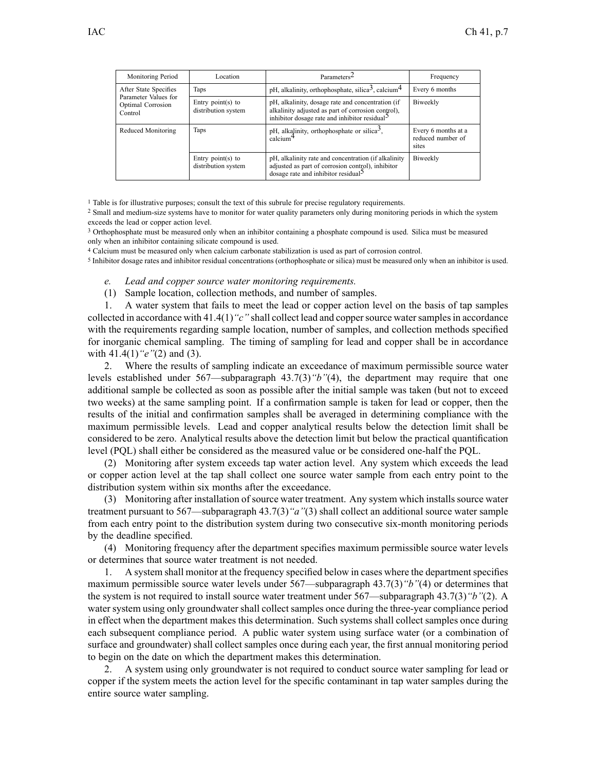| Monitoring Period                                                             | Location                                   | Parameters <sup>2</sup>                                                                                                                                              | Frequency                                         |
|-------------------------------------------------------------------------------|--------------------------------------------|----------------------------------------------------------------------------------------------------------------------------------------------------------------------|---------------------------------------------------|
| After State Specifies<br>Parameter Values for<br>Optimal Corrosion<br>Control | Taps                                       | pH, alkalinity, orthophosphate, silica <sup>3</sup> , calcium <sup>4</sup>                                                                                           | Every 6 months                                    |
|                                                                               | Entry point(s) to<br>distribution system   | pH, alkalinity, dosage rate and concentration (if<br>alkalinity adjusted as part of corrosion control),<br>inhibitor dosage rate and inhibitor residual <sup>5</sup> | Biweekly                                          |
| Reduced Monitoring                                                            | Taps                                       | pH, alkalinity, orthophosphate or silica <sup>3</sup> ,<br>$cal$ calcium <sup>4</sup>                                                                                | Every 6 months at a<br>reduced number of<br>sites |
|                                                                               | Entry $point(s)$ to<br>distribution system | pH, alkalinity rate and concentration (if alkalinity<br>adjusted as part of corrosion control), inhibitor<br>dosage rate and inhibitor residual <sup>5</sup>         | Biweekly                                          |

<sup>1</sup> Table is for illustrative purposes; consult the text of this subrule for precise regulatory requirements.

<sup>2</sup> Small and medium-size systems have to monitor for water quality parameters only during monitoring periods in which the system exceeds the lead or copper action level.

<sup>3</sup> Orthophosphate must be measured only when an inhibitor containing <sup>a</sup> phosphate compound is used. Silica must be measured only when an inhibitor containing silicate compound is used.

<sup>4</sup> Calcium must be measured only when calcium carbonate stabilization is used as par<sup>t</sup> of corrosion control.

5 Inhibitor dosage rates and inhibitor residual concentrations (orthophosphate or silica) must be measured only when an inhibitor is used.

#### *e. Lead and copper source water monitoring requirements.*

(1) Sample location, collection methods, and number of samples.

1. A water system that fails to meet the lead or copper action level on the basis of tap samples collected in accordance with 41.4(1)*"c"* shall collect lead and coppersource watersamplesin accordance with the requirements regarding sample location, number of samples, and collection methods specified for inorganic chemical sampling. The timing of sampling for lead and copper shall be in accordance with 41.4(1)*"e"*(2) and (3).

2. Where the results of sampling indicate an exceedance of maximum permissible source water levels established under 567—subparagraph 43.7(3)*"b"*(4), the department may require that one additional sample be collected as soon as possible after the initial sample was taken (but not to exceed two weeks) at the same sampling point. If <sup>a</sup> confirmation sample is taken for lead or copper, then the results of the initial and confirmation samples shall be averaged in determining compliance with the maximum permissible levels. Lead and copper analytical results below the detection limit shall be considered to be zero. Analytical results above the detection limit but below the practical quantification level (PQL) shall either be considered as the measured value or be considered one-half the PQL.

(2) Monitoring after system exceeds tap water action level. Any system which exceeds the lead or copper action level at the tap shall collect one source water sample from each entry point to the distribution system within six months after the exceedance.

(3) Monitoring after installation of source water treatment. Any system which installs source water treatment pursuan<sup>t</sup> to 567—subparagraph 43.7(3)*"a"*(3) shall collect an additional source water sample from each entry point to the distribution system during two consecutive six-month monitoring periods by the deadline specified.

(4) Monitoring frequency after the department specifies maximum permissible source water levels or determines that source water treatment is not needed.

1. A system shall monitor at the frequency specified below in cases where the department specifies maximum permissible source water levels under 567—subparagraph 43.7(3)*"b"*(4) or determines that the system is not required to install source water treatment under 567—subparagraph 43.7(3)*"b"*(2). A water system using only groundwater shall collect samples once during the three-year compliance period in effect when the department makes this determination. Such systems shall collect samples once during each subsequent compliance period. A public water system using surface water (or <sup>a</sup> combination of surface and groundwater) shall collect samples once during each year, the first annual monitoring period to begin on the date on which the department makes this determination.

2. A system using only groundwater is not required to conduct source water sampling for lead or copper if the system meets the action level for the specific contaminant in tap water samples during the entire source water sampling.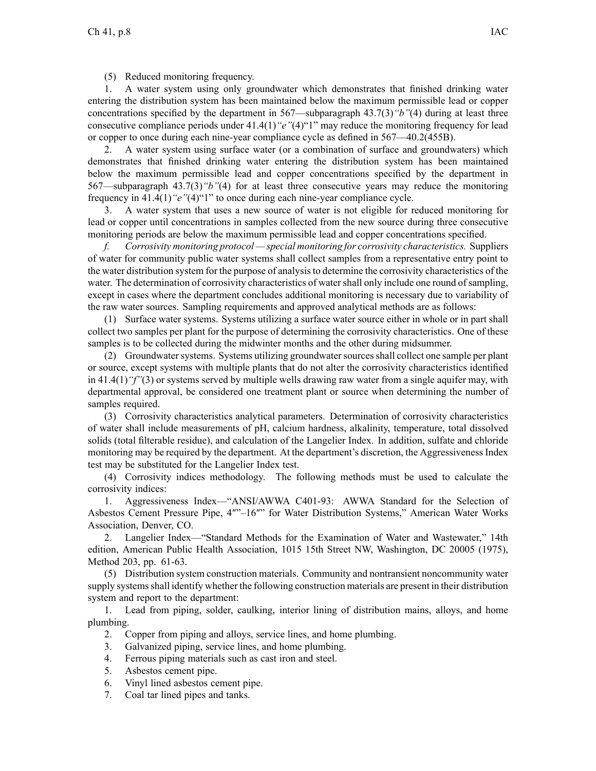(5) Reduced monitoring frequency.

1. A water system using only groundwater which demonstrates that finished drinking water entering the distribution system has been maintained below the maximum permissible lead or copper concentrations specified by the department in 567—subparagraph 43.7(3)*"b"*(4) during at least three consecutive compliance periods under 41.4(1)*"e"*(4)"1" may reduce the monitoring frequency for lead or copper to once during each nine-year compliance cycle as defined in 567—40.2(455B).

2. A water system using surface water (or <sup>a</sup> combination of surface and groundwaters) which demonstrates that finished drinking water entering the distribution system has been maintained below the maximum permissible lead and copper concentrations specified by the department in 567—subparagraph 43.7(3)*"b"*(4) for at least three consecutive years may reduce the monitoring frequency in 41.4(1)*"e"*(4)"1" to once during each nine-year compliance cycle.

3. A water system that uses <sup>a</sup> new source of water is not eligible for reduced monitoring for lead or copper until concentrations in samples collected from the new source during three consecutive monitoring periods are below the maximum permissible lead and copper concentrations specified.

*f. Corrosivity monitoring protocol — special monitoring for corrosivity characteristics.* Suppliers of water for community public water systems shall collect samples from <sup>a</sup> representative entry point to the water distribution system for the purpose of analysisto determine the corrosivity characteristics of the water. The determination of corrosivity characteristics of water shall only include one round of sampling, excep<sup>t</sup> in cases where the department concludes additional monitoring is necessary due to variability of the raw water sources. Sampling requirements and approved analytical methods are as follows:

(1) Surface water systems. Systems utilizing <sup>a</sup> surface water source either in whole or in par<sup>t</sup> shall collect two samples per plant for the purpose of determining the corrosivity characteristics. One of these samples is to be collected during the midwinter months and the other during midsummer.

(2) Groundwatersystems. Systems utilizing groundwatersourcesshall collect one sample per plant or source, excep<sup>t</sup> systems with multiple plants that do not alter the corrosivity characteristics identified in 41.4(1)*"f"*(3) or systems served by multiple wells drawing raw water from <sup>a</sup> single aquifer may, with departmental approval, be considered one treatment plant or source when determining the number of samples required.

(3) Corrosivity characteristics analytical parameters. Determination of corrosivity characteristics of water shall include measurements of pH, calcium hardness, alkalinity, temperature, total dissolved solids (total filterable residue), and calculation of the Langelier Index. In addition, sulfate and chloride monitoring may be required by the department. At the department's discretion, the Aggressiveness Index test may be substituted for the Langelier Index test.

(4) Corrosivity indices methodology. The following methods must be used to calculate the corrosivity indices:

1. Aggressiveness Index—"ANSI/AWWA C401-93: AWWA Standard for the Selection of Asbestos Cement Pressure Pipe, 4″"–16″" for Water Distribution Systems," American Water Works Association, Denver, CO.

2. Langelier Index—"Standard Methods for the Examination of Water and Wastewater," 14th edition, American Public Health Association, 1015 15th Street NW, Washington, DC 20005 (1975), Method 203, pp. 61-63.

(5) Distribution system construction materials. Community and nontransient noncommunity water supply systems shall identify whether the following construction materials are present in their distribution system and repor<sup>t</sup> to the department:

1. Lead from piping, solder, caulking, interior lining of distribution mains, alloys, and home plumbing.

- 2. Copper from piping and alloys, service lines, and home plumbing.
- 3. Galvanized piping, service lines, and home plumbing.
- 4. Ferrous piping materials such as cast iron and steel.
- 5. Asbestos cement pipe.
- 6. Vinyl lined asbestos cement pipe.
- 7. Coal tar lined pipes and tanks.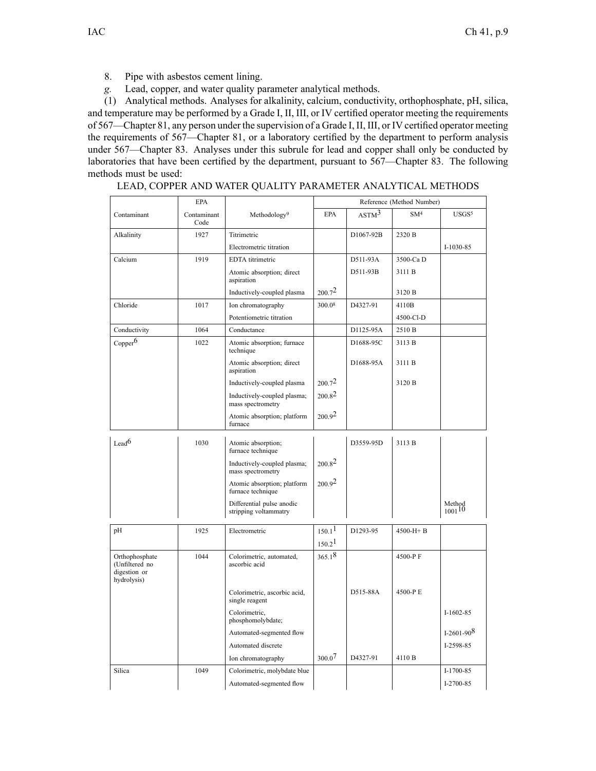- 8. Pipe with asbestos cement lining.
- *g.* Lead, copper, and water quality parameter analytical methods.

(1) Analytical methods. Analyses for alkalinity, calcium, conductivity, orthophosphate, pH, silica, and temperature may be performed by <sup>a</sup> Grade I, II, III, or IV certified operator meeting the requirements of 567—Chapter 81, any person under the supervision of <sup>a</sup> Grade I, II, III, or IV certified operator meeting the requirements of 567—Chapter 81, or <sup>a</sup> laboratory certified by the department to perform analysis under 567—Chapter 83. Analyses under this subrule for lead and copper shall only be conducted by laboratories that have been certified by the department, pursuan<sup>t</sup> to 567—Chapter 83. The following methods must be used:

LEAD, COPPER AND WATER QUALITY PARAMETER ANALYTICAL METHODS

|                                                                 | <b>EPA</b>          |                                                    | Reference (Method Number) |                   |                 |                       |
|-----------------------------------------------------------------|---------------------|----------------------------------------------------|---------------------------|-------------------|-----------------|-----------------------|
| Contaminant                                                     | Contaminant<br>Code | Methodology <sup>9</sup>                           | <b>EPA</b>                | ASTM <sup>3</sup> | SM <sup>4</sup> | USGS <sup>5</sup>     |
| 1927<br>Alkalinity                                              |                     | Titrimetric                                        |                           | D1067-92B         | 2320 B          |                       |
|                                                                 |                     | Electrometric titration                            |                           |                   |                 | I-1030-85             |
| Calcium                                                         | 1919                | EDTA titrimetric                                   |                           | D511-93A          | 3500-Ca D       |                       |
|                                                                 |                     | Atomic absorption; direct<br>aspiration            |                           | D511-93B          | 3111 B          |                       |
|                                                                 |                     | Inductively-coupled plasma                         | $200.7^{2}$               |                   | 3120 B          |                       |
| Chloride                                                        | 1017                | Ion chromatography                                 | 300.08                    | D4327-91          | 4110B           |                       |
|                                                                 |                     | Potentiometric titration                           |                           |                   | 4500-Cl-D       |                       |
| Conductivity                                                    | 1064                | Conductance                                        |                           | D1125-95A         | 2510 B          |                       |
| Copper <sup>6</sup>                                             | 1022                | Atomic absorption; furnace<br>technique            |                           | D1688-95C         | 3113 B          |                       |
|                                                                 |                     | Atomic absorption; direct<br>aspiration            |                           | D1688-95A         | 3111 B          |                       |
|                                                                 |                     | Inductively-coupled plasma                         | $200.7^{2}$               |                   | 3120 B          |                       |
|                                                                 |                     | Inductively-coupled plasma;<br>mass spectrometry   | $200.8^2$                 |                   |                 |                       |
|                                                                 |                     | Atomic absorption; platform<br>furnace             | 200.9 <sup>2</sup>        |                   |                 |                       |
| Lead <sup>6</sup>                                               | 1030                | Atomic absorption;<br>furnace technique            |                           | D3559-95D         | 3113 B          |                       |
|                                                                 |                     | Inductively-coupled plasma;<br>mass spectrometry   | $200.8^2$                 |                   |                 |                       |
|                                                                 |                     | Atomic absorption; platform<br>furnace technique   | 200.92                    |                   |                 |                       |
|                                                                 |                     | Differential pulse anodic<br>stripping voltammatry |                           |                   |                 | Method<br>$1001^{10}$ |
| pH                                                              | 1925                | Electrometric                                      | 150.1 <sup>1</sup>        | D1293-95          | $4500-H + B$    |                       |
|                                                                 |                     |                                                    | 150.2 <sup>1</sup>        |                   |                 |                       |
| Orthophosphate<br>(Unfiltered no<br>digestion or<br>hydrolysis) | 1044                | Colorimetric, automated,<br>ascorbic acid          | 365.18                    |                   | 4500-PF         |                       |
|                                                                 |                     | Colorimetric, ascorbic acid,<br>single reagent     |                           | D515-88A          | 4500-PE         |                       |
|                                                                 |                     | Colorimetric,<br>phosphomolybdate;                 |                           |                   |                 | $I-1602-85$           |
|                                                                 |                     | Automated-segmented flow                           |                           |                   |                 | $I-2601-908$          |
|                                                                 |                     | Automated discrete                                 |                           |                   |                 | I-2598-85             |
|                                                                 |                     | Ion chromatography                                 | 300.07                    | D4327-91          | 4110 B          |                       |
| Silica                                                          | 1049                | Colorimetric, molybdate blue                       |                           |                   |                 | I-1700-85             |
|                                                                 |                     | Automated-segmented flow                           |                           |                   |                 | I-2700-85             |